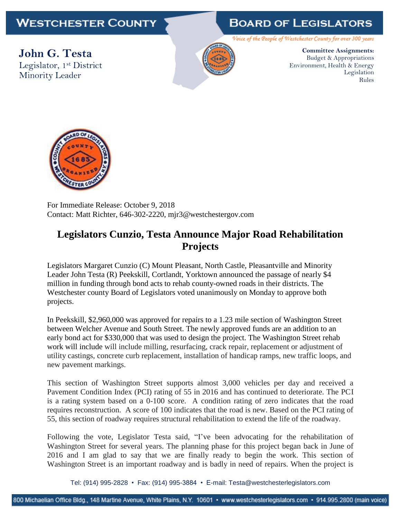## **WESTCHESTER COUNTY**

## **BOARD OF LEGISLATORS**

Voice of the People of Westchester County for over 300 years

**John G. Testa** Legislator, 1st District Minority Leader



**Committee Assignments:** Budget & Appropriations Environment, Health & Energy Legislation Rules



For Immediate Release: October 9, 2018 Contact: Matt Richter, 646-302-2220, mjr3@westchestergov.com

## **Legislators Cunzio, Testa Announce Major Road Rehabilitation Projects**

Legislators Margaret Cunzio (C) Mount Pleasant, North Castle, Pleasantville and Minority Leader John Testa (R) Peekskill, Cortlandt, Yorktown announced the passage of nearly \$4 million in funding through bond acts to rehab county-owned roads in their districts. The Westchester county Board of Legislators voted unanimously on Monday to approve both projects.

In Peekskill, \$2,960,000 was approved for repairs to a 1.23 mile section of Washington Street between Welcher Avenue and South Street. The newly approved funds are an addition to an early bond act for \$330,000 that was used to design the project. The Washington Street rehab work will include will include milling, resurfacing, crack repair, replacement or adjustment of utility castings, concrete curb replacement, installation of handicap ramps, new traffic loops, and new pavement markings.

This section of Washington Street supports almost 3,000 vehicles per day and received a Pavement Condition Index (PCI) rating of 55 in 2016 and has continued to deteriorate. The PCI is a rating system based on a 0-100 score. A condition rating of zero indicates that the road requires reconstruction. A score of 100 indicates that the road is new. Based on the PCI rating of 55, this section of roadway requires structural rehabilitation to extend the life of the roadway.

Following the vote, Legislator Testa said, "I've been advocating for the rehabilitation of Washington Street for several years. The planning phase for this project began back in June of 2016 and I am glad to say that we are finally ready to begin the work. This section of Washington Street is an important roadway and is badly in need of repairs. When the project is

Tel: (914) 995-2828 • Fax: (914) 995-3884 • E-mail: Testa@westchesterlegislators.com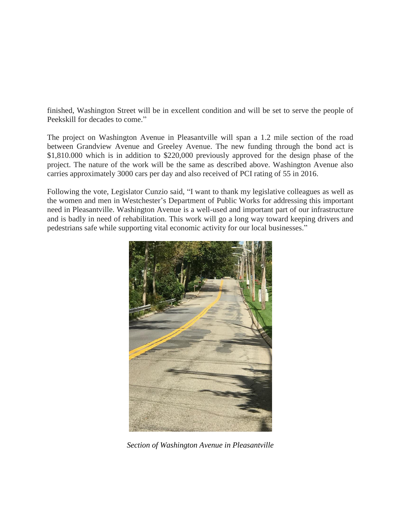finished, Washington Street will be in excellent condition and will be set to serve the people of Peekskill for decades to come."

The project on Washington Avenue in Pleasantville will span a 1.2 mile section of the road between Grandview Avenue and Greeley Avenue. The new funding through the bond act is \$1,810.000 which is in addition to \$220,000 previously approved for the design phase of the project. The nature of the work will be the same as described above. Washington Avenue also carries approximately 3000 cars per day and also received of PCI rating of 55 in 2016.

Following the vote, Legislator Cunzio said, "I want to thank my legislative colleagues as well as the women and men in Westchester's Department of Public Works for addressing this important need in Pleasantville. Washington Avenue is a well-used and important part of our infrastructure and is badly in need of rehabilitation. This work will go a long way toward keeping drivers and pedestrians safe while supporting vital economic activity for our local businesses."



*Section of Washington Avenue in Pleasantville*